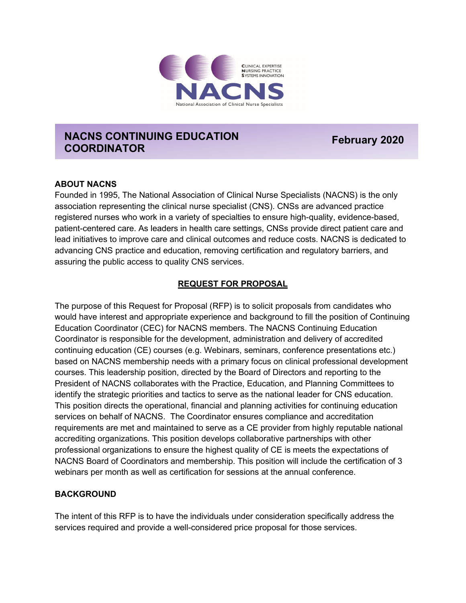

# **NACNS CONTINUING EDUCATION COORDINATOR February 2020**

#### **ABOUT NACNS**

Founded in 1995, The National Association of Clinical Nurse Specialists (NACNS) is the only association representing the clinical nurse specialist (CNS). CNSs are advanced practice registered nurses who work in a variety of specialties to ensure high-quality, evidence-based, patient-centered care. As leaders in health care settings, CNSs provide direct patient care and lead initiatives to improve care and clinical outcomes and reduce costs. NACNS is dedicated to advancing CNS practice and education, removing certification and regulatory barriers, and assuring the public access to quality CNS services.

### **REQUEST FOR PROPOSAL**

The purpose of this Request for Proposal (RFP) is to solicit proposals from candidates who would have interest and appropriate experience and background to fill the position of Continuing Education Coordinator (CEC) for NACNS members. The NACNS Continuing Education Coordinator is responsible for the development, administration and delivery of accredited continuing education (CE) courses (e.g. Webinars, seminars, conference presentations etc.) based on NACNS membership needs with a primary focus on clinical professional development courses. This leadership position, directed by the Board of Directors and reporting to the President of NACNS collaborates with the Practice, Education, and Planning Committees to identify the strategic priorities and tactics to serve as the national leader for CNS education. This position directs the operational, financial and planning activities for continuing education services on behalf of NACNS. The Coordinator ensures compliance and accreditation requirements are met and maintained to serve as a CE provider from highly reputable national accrediting organizations. This position develops collaborative partnerships with other professional organizations to ensure the highest quality of CE is meets the expectations of NACNS Board of Coordinators and membership. This position will include the certification of 3 webinars per month as well as certification for sessions at the annual conference.

#### **BACKGROUND**

The intent of this RFP is to have the individuals under consideration specifically address the services required and provide a well-considered price proposal for those services.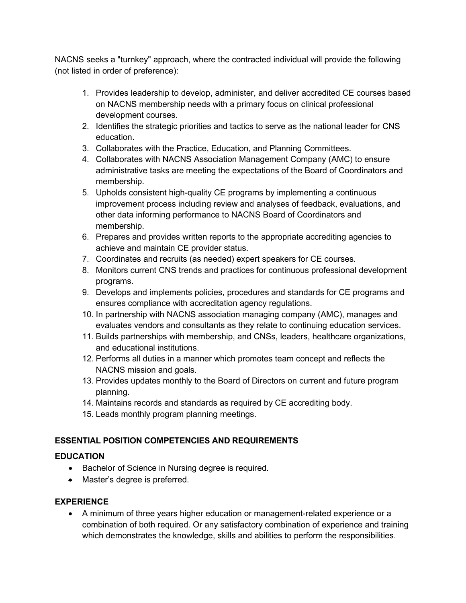NACNS seeks a "turnkey" approach, where the contracted individual will provide the following (not listed in order of preference):

- 1. Provides leadership to develop, administer, and deliver accredited CE courses based on NACNS membership needs with a primary focus on clinical professional development courses.
- 2. Identifies the strategic priorities and tactics to serve as the national leader for CNS education.
- 3. Collaborates with the Practice, Education, and Planning Committees.
- 4. Collaborates with NACNS Association Management Company (AMC) to ensure administrative tasks are meeting the expectations of the Board of Coordinators and membership.
- 5. Upholds consistent high-quality CE programs by implementing a continuous improvement process including review and analyses of feedback, evaluations, and other data informing performance to NACNS Board of Coordinators and membership.
- 6. Prepares and provides written reports to the appropriate accrediting agencies to achieve and maintain CE provider status.
- 7. Coordinates and recruits (as needed) expert speakers for CE courses.
- 8. Monitors current CNS trends and practices for continuous professional development programs.
- 9. Develops and implements policies, procedures and standards for CE programs and ensures compliance with accreditation agency regulations.
- 10. In partnership with NACNS association managing company (AMC), manages and evaluates vendors and consultants as they relate to continuing education services.
- 11. Builds partnerships with membership, and CNSs, leaders, healthcare organizations, and educational institutions.
- 12. Performs all duties in a manner which promotes team concept and reflects the NACNS mission and goals.
- 13. Provides updates monthly to the Board of Directors on current and future program planning.
- 14. Maintains records and standards as required by CE accrediting body.
- 15. Leads monthly program planning meetings.

## **ESSENTIAL POSITION COMPETENCIES AND REQUIREMENTS**

## **EDUCATION**

- Bachelor of Science in Nursing degree is required.
- Master's degree is preferred.

### **EXPERIENCE**

• A minimum of three years higher education or management-related experience or a combination of both required. Or any satisfactory combination of experience and training which demonstrates the knowledge, skills and abilities to perform the responsibilities.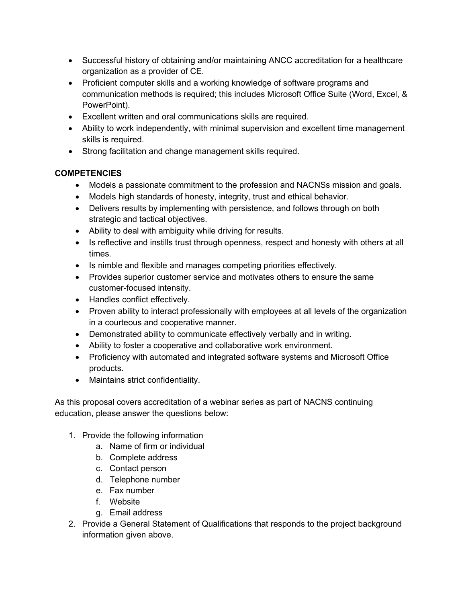- Successful history of obtaining and/or maintaining ANCC accreditation for a healthcare organization as a provider of CE.
- Proficient computer skills and a working knowledge of software programs and communication methods is required; this includes Microsoft Office Suite (Word, Excel, & PowerPoint).
- Excellent written and oral communications skills are required.
- Ability to work independently, with minimal supervision and excellent time management skills is required.
- Strong facilitation and change management skills required.

### **COMPETENCIES**

- Models a passionate commitment to the profession and NACNSs mission and goals.
- Models high standards of honesty, integrity, trust and ethical behavior.
- Delivers results by implementing with persistence, and follows through on both strategic and tactical objectives.
- Ability to deal with ambiguity while driving for results.
- Is reflective and instills trust through openness, respect and honesty with others at all times.
- Is nimble and flexible and manages competing priorities effectively.
- Provides superior customer service and motivates others to ensure the same customer-focused intensity.
- Handles conflict effectively.
- Proven ability to interact professionally with employees at all levels of the organization in a courteous and cooperative manner.
- Demonstrated ability to communicate effectively verbally and in writing.
- Ability to foster a cooperative and collaborative work environment.
- Proficiency with automated and integrated software systems and Microsoft Office products.
- Maintains strict confidentiality.

As this proposal covers accreditation of a webinar series as part of NACNS continuing education, please answer the questions below:

- 1. Provide the following information
	- a. Name of firm or individual
	- b. Complete address
	- c. Contact person
	- d. Telephone number
	- e. Fax number
	- f. Website
	- g. Email address
- 2. Provide a General Statement of Qualifications that responds to the project background information given above.